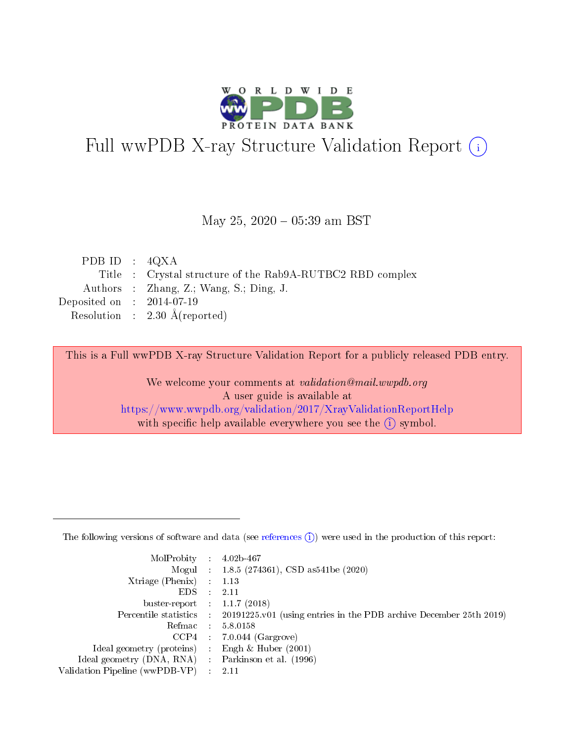

# Full wwPDB X-ray Structure Validation Report (i)

#### May 25,  $2020 - 05:39$  am BST

| PDB ID : $4QXA$             |                                                           |
|-----------------------------|-----------------------------------------------------------|
|                             | Title : Crystal structure of the Rab9A-RUTBC2 RBD complex |
|                             | Authors : Zhang, Z.; Wang, S.; Ding, J.                   |
| Deposited on : $2014-07-19$ |                                                           |
|                             | Resolution : $2.30 \text{ Å}$ (reported)                  |

This is a Full wwPDB X-ray Structure Validation Report for a publicly released PDB entry.

We welcome your comments at validation@mail.wwpdb.org A user guide is available at <https://www.wwpdb.org/validation/2017/XrayValidationReportHelp> with specific help available everywhere you see the  $(i)$  symbol.

The following versions of software and data (see [references](https://www.wwpdb.org/validation/2017/XrayValidationReportHelp#references)  $(1)$ ) were used in the production of this report:

| MolProbity :                   |               | $4.02b - 467$                                                               |
|--------------------------------|---------------|-----------------------------------------------------------------------------|
|                                |               | Mogul : $1.8.5$ (274361), CSD as 541be (2020)                               |
| Xtriage (Phenix)               | $\mathcal{L}$ | 1.13                                                                        |
| EDS.                           |               | 2.11                                                                        |
| buster-report : $1.1.7$ (2018) |               |                                                                             |
| Percentile statistics :        |               | $20191225 \text{v}01$ (using entries in the PDB archive December 25th 2019) |
| Refmac :                       |               | 5.8.0158                                                                    |
| CCP4                           |               | $7.0.044$ (Gargrove)                                                        |
| Ideal geometry (proteins) :    |               | Engh & Huber $(2001)$                                                       |
| Ideal geometry (DNA, RNA) :    |               | Parkinson et al. (1996)                                                     |
| Validation Pipeline (wwPDB-VP) | $\mathcal{L}$ | 2.11                                                                        |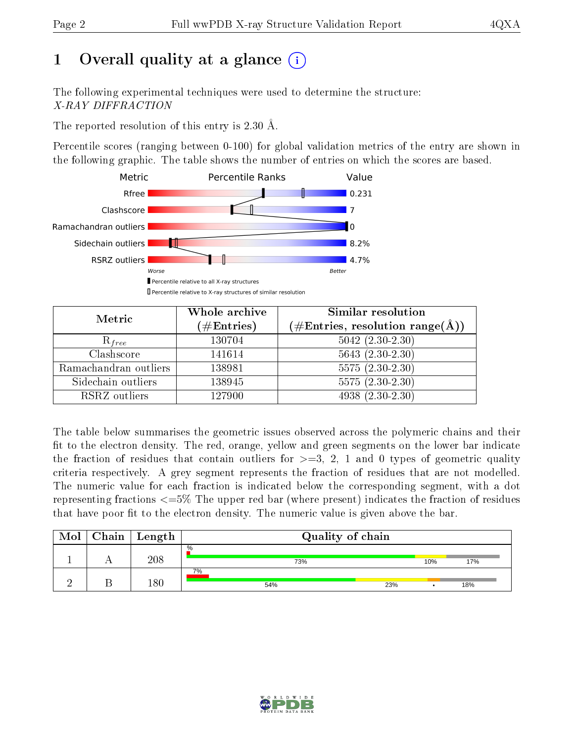# 1 [O](https://www.wwpdb.org/validation/2017/XrayValidationReportHelp#overall_quality)verall quality at a glance  $(i)$

The following experimental techniques were used to determine the structure: X-RAY DIFFRACTION

The reported resolution of this entry is 2.30 Å.

Percentile scores (ranging between 0-100) for global validation metrics of the entry are shown in the following graphic. The table shows the number of entries on which the scores are based.



| Metric                | Whole archive<br>$(\#\mathrm{Entries})$ | Similar resolution<br>$(\#\text{Entries},\, \text{resolution}\; \text{range}(\textup{\AA}))$ |
|-----------------------|-----------------------------------------|----------------------------------------------------------------------------------------------|
| $R_{free}$            | 130704                                  | $5042$ $(2.30-2.30)$                                                                         |
| Clashscore            | 141614                                  | $5643$ $(2.30-2.30)$                                                                         |
| Ramachandran outliers | 138981                                  | $\overline{5575}$ $(2.30-2.30)$                                                              |
| Sidechain outliers    | 138945                                  | $5575(2.30-2.30)$                                                                            |
| RSRZ outliers         | 127900                                  | $4938(2.30-2.30)$                                                                            |

The table below summarises the geometric issues observed across the polymeric chains and their fit to the electron density. The red, orange, yellow and green segments on the lower bar indicate the fraction of residues that contain outliers for  $>=3, 2, 1$  and 0 types of geometric quality criteria respectively. A grey segment represents the fraction of residues that are not modelled. The numeric value for each fraction is indicated below the corresponding segment, with a dot representing fractions  $\epsilon=5\%$  The upper red bar (where present) indicates the fraction of residues that have poor fit to the electron density. The numeric value is given above the bar.

| Mol | ${\rm Chain \mid Length}$ | Quality of chain |     |     |  |
|-----|---------------------------|------------------|-----|-----|--|
|     | 208                       | $\%$<br>73%      | 10% | 17% |  |
|     | $180\,$                   | 7%<br>23%<br>54% |     | 18% |  |

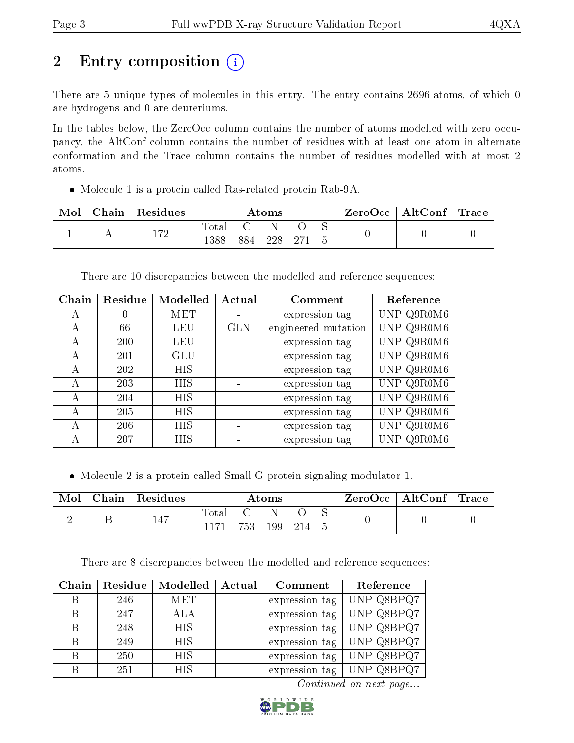# 2 Entry composition  $\left( \cdot \right)$

There are 5 unique types of molecules in this entry. The entry contains 2696 atoms, of which 0 are hydrogens and 0 are deuteriums.

In the tables below, the ZeroOcc column contains the number of atoms modelled with zero occupancy, the AltConf column contains the number of residues with at least one atom in alternate conformation and the Trace column contains the number of residues modelled with at most 2 atoms.

Molecule 1 is a protein called Ras-related protein Rab-9A.

| Mol | ${\bf Chain \mid Residues}$ |               |     | $\rm{Atoms}$ |  | ZeroOcc   AltConf   Trace |  |
|-----|-----------------------------|---------------|-----|--------------|--|---------------------------|--|
|     | 172                         | Tota.<br>1388 | 884 | 228          |  |                           |  |

There are 10 discrepancies between the modelled and reference sequences:

| Chain        | Residue    | Modelled | Actual     | Comment             | Reference  |
|--------------|------------|----------|------------|---------------------|------------|
| А            |            | MET      |            | expression tag      | UNP Q9R0M6 |
| А            | 66         | LEU      | <b>GLN</b> | engineered mutation | UNP Q9R0M6 |
| $\mathsf{A}$ | <b>200</b> | LEU      |            | expression tag      | UNP Q9R0M6 |
| А            | 201        | GLU      |            | expression tag      | UNP Q9R0M6 |
| А            | 202        | HIS      |            | expression tag      | UNP Q9R0M6 |
| A            | 203        | HIS      |            | expression tag      | UNP Q9R0M6 |
| А            | 204        | HIS      |            | expression tag      | UNP Q9R0M6 |
| А            | 205        | HIS      |            | expression tag      | UNP Q9R0M6 |
| А            | 206        | HIS      |            | expression tag      | UNP Q9R0M6 |
| А            | 207        | HIS      |            | expression tag      | UNP Q9R0M6 |

Molecule 2 is a protein called Small G protein signaling modulator 1.

| Mol | Chain | $\perp$ Residues |       |      | Atoms |  | $\rm ZeroOcc$   AltConf   Trace |  |
|-----|-------|------------------|-------|------|-------|--|---------------------------------|--|
|     |       | 147              | lotal |      |       |  |                                 |  |
|     |       |                  | 1171  | 753. | 199   |  |                                 |  |

There are 8 discrepancies between the modelled and reference sequences:

| Chain | Residue | Modelled   | Actual | Comment        | Reference  |
|-------|---------|------------|--------|----------------|------------|
|       | 246     | MET        |        | expression tag | UNP Q8BPQ7 |
| R     | 247     | ALA        |        | expression tag | UNP Q8BPQ7 |
|       | 248     | <b>HIS</b> |        | expression tag | UNP Q8BPQ7 |
| R     | 249     | <b>HIS</b> |        | expression tag | UNP Q8BPQ7 |
| В     | 250     | <b>HIS</b> |        | expression tag | UNP Q8BPQ7 |
|       | 251     | <b>HIS</b> |        | expression tag | UNP Q8BPQ7 |

Continued on next page...

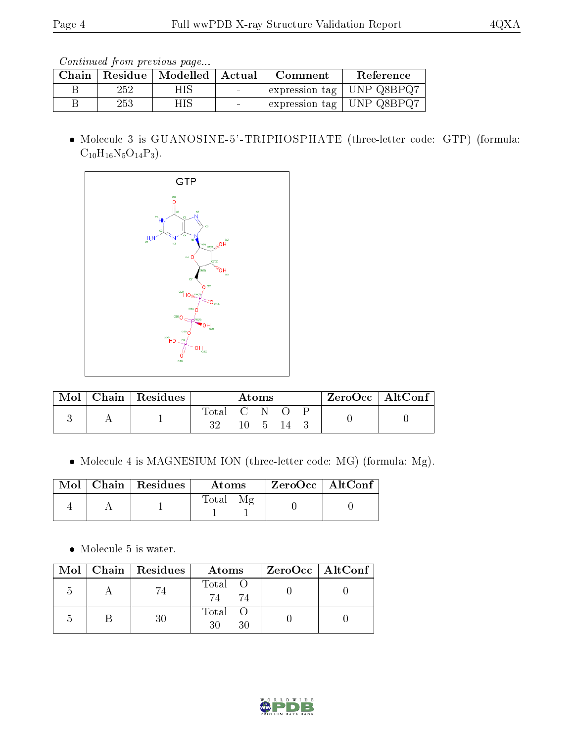Continued from previous page...

| Chain | Residue | $\mid$ Modelled $\mid$ | ' Actual | Comment | Reference                   |
|-------|---------|------------------------|----------|---------|-----------------------------|
|       | 252     | HIS.                   |          |         | expression tag   UNP Q8BPQ7 |
|       | 253     | НIS                    | $\sim$   |         | expression tag   UNP Q8BPQ7 |

 Molecule 3 is GUANOSINE-5'-TRIPHOSPHATE (three-letter code: GTP) (formula:  $C_{10}H_{16}N_5O_{14}P_3$ .



| Mol | $\blacksquare$ Chain $\blacksquare$ Residues | Atoms       |  |  | $ZeroOcc \mid AltConf \mid$   |  |  |
|-----|----------------------------------------------|-------------|--|--|-------------------------------|--|--|
|     |                                              | Total C N O |  |  |                               |  |  |
|     |                                              | $32\,$      |  |  | $10 \quad 5 \quad 14 \quad 3$ |  |  |

Molecule 4 is MAGNESIUM ION (three-letter code: MG) (formula: Mg).

|  | $Mol$   Chain   Residues | Atoms | $\rm ZeroOcc$   Alt $\rm Conf$ |
|--|--------------------------|-------|--------------------------------|
|  |                          | Total |                                |

• Molecule 5 is water.

|  | $Mol$   Chain   Residues | Atoms             | ZeroOcc   AltConf |
|--|--------------------------|-------------------|-------------------|
|  |                          | Total<br>74<br>74 |                   |
|  | 30                       | Total<br>٩Λ<br>30 |                   |

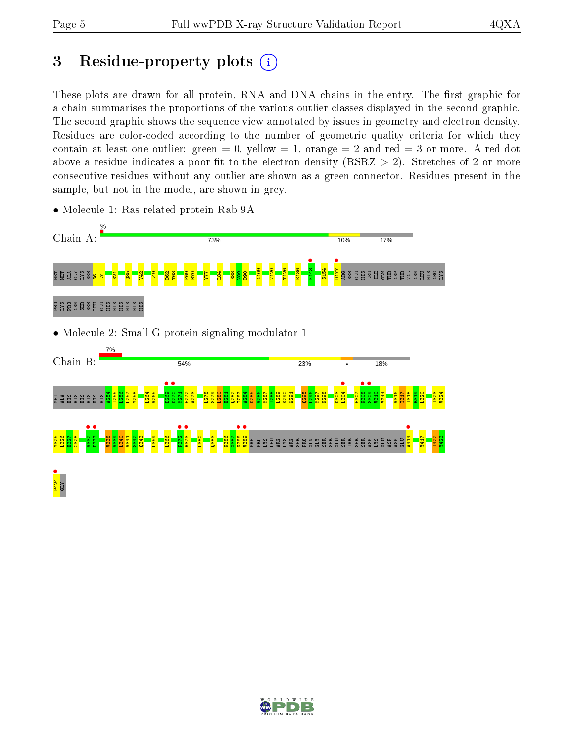# 3 Residue-property plots  $(i)$

These plots are drawn for all protein, RNA and DNA chains in the entry. The first graphic for a chain summarises the proportions of the various outlier classes displayed in the second graphic. The second graphic shows the sequence view annotated by issues in geometry and electron density. Residues are color-coded according to the number of geometric quality criteria for which they contain at least one outlier: green  $= 0$ , yellow  $= 1$ , orange  $= 2$  and red  $= 3$  or more. A red dot above a residue indicates a poor fit to the electron density (RSRZ  $> 2$ ). Stretches of 2 or more consecutive residues without any outlier are shown as a green connector. Residues present in the sample, but not in the model, are shown in grey.



• Molecule 1: Ras-related protein Rab-9A

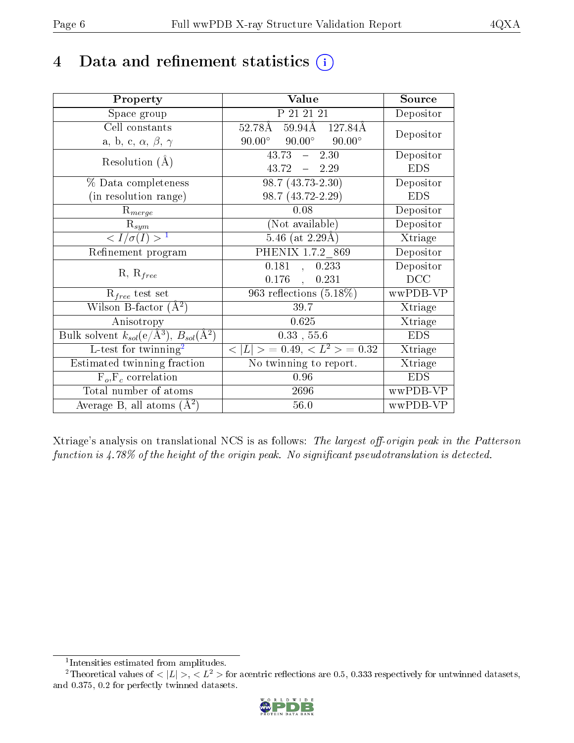# 4 Data and refinement statistics  $(i)$

| Property                                                         | Value                                            | Source     |
|------------------------------------------------------------------|--------------------------------------------------|------------|
| Space group                                                      | P 21 21 21                                       | Depositor  |
| Cell constants                                                   | $52.78\AA$ $59.94\AA$ $127.84\AA$                | Depositor  |
| a, b, c, $\alpha$ , $\beta$ , $\gamma$                           | $90.00^{\circ}$ $90.00^{\circ}$<br>$90.00^\circ$ |            |
| Resolution $(A)$                                                 | $-2.30$<br>43.73                                 | Depositor  |
|                                                                  | $43.72 - 2.29$                                   | <b>EDS</b> |
| $\%$ Data completeness                                           | $98.7(43.73 - 2.30)$                             | Depositor  |
| (in resolution range)                                            | 98.7 (43.72-2.29)                                | <b>EDS</b> |
| $R_{merge}$                                                      | 0.08                                             | Depositor  |
| $\mathrm{R}_{sym}$                                               | (Not available)                                  | Depositor  |
| $\langle I/\sigma(I) \rangle^{-1}$                               | $5.46$ (at 2.29Å)                                | Xtriage    |
| Refinement program                                               | PHENIX 1.7.2 869                                 | Depositor  |
|                                                                  | 0.181<br>0.233<br>$\mathcal{A}^{\pm}$            | Depositor  |
| $R, R_{free}$                                                    | $0.176$ ,<br>0.231                               | DCC        |
| $R_{free}$ test set                                              | 963 reflections $(5.18\%)$                       | wwPDB-VP   |
| Wilson B-factor $(A^2)$                                          | 39.7                                             | Xtriage    |
| Anisotropy                                                       | 0.625                                            | Xtriage    |
| Bulk solvent $k_{sol}(\text{e}/\text{A}^3), B_{sol}(\text{A}^2)$ | $0.33$ , 55.6                                    | <b>EDS</b> |
| L-test for $\mathrm{twinning}^2$                                 | $< L >$ = 0.49, $< L2$ = 0.32                    | Xtriage    |
| Estimated twinning fraction                                      | No twinning to report.                           | Xtriage    |
| $\overline{F_o}, \overline{F_c}$ correlation                     | 0.96                                             | <b>EDS</b> |
| Total number of atoms                                            | 2696                                             | wwPDB-VP   |
| Average B, all atoms $(A^2)$                                     | $56.0\,$                                         | wwPDB-VP   |

Xtriage's analysis on translational NCS is as follows: The largest off-origin peak in the Patterson function is  $4.78\%$  of the height of the origin peak. No significant pseudotranslation is detected.

<sup>&</sup>lt;sup>2</sup>Theoretical values of  $\langle |L| \rangle$ ,  $\langle L^2 \rangle$  for acentric reflections are 0.5, 0.333 respectively for untwinned datasets, and 0.375, 0.2 for perfectly twinned datasets.



<span id="page-5-1"></span><span id="page-5-0"></span><sup>1</sup> Intensities estimated from amplitudes.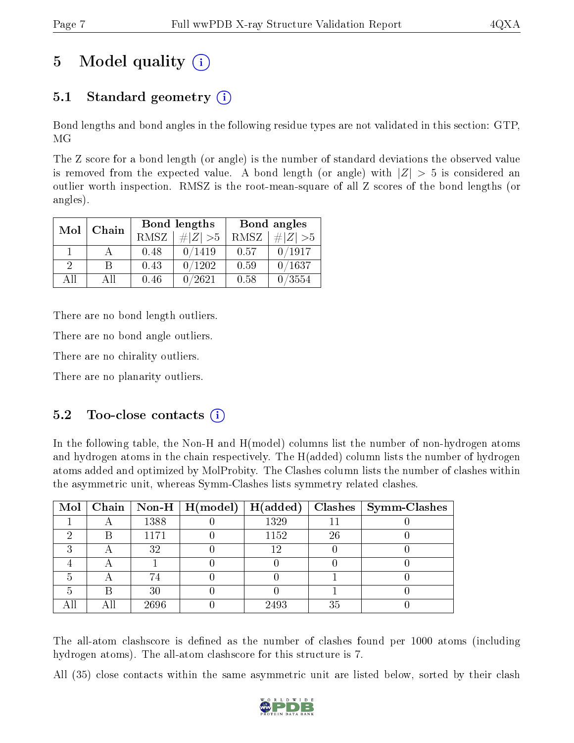# 5 Model quality  $(i)$

# 5.1 Standard geometry (i)

Bond lengths and bond angles in the following residue types are not validated in this section: GTP, MG

The Z score for a bond length (or angle) is the number of standard deviations the observed value is removed from the expected value. A bond length (or angle) with  $|Z| > 5$  is considered an outlier worth inspection. RMSZ is the root-mean-square of all Z scores of the bond lengths (or angles).

| Mol      | Chain |      | Bond lengths |      | Bond angles |
|----------|-------|------|--------------|------|-------------|
|          |       | RMSZ | $\# Z  > 5$  | RMSZ | $\# Z  > 5$ |
|          |       | 0.48 | 0/1419       | 0.57 | 0/1917      |
| $\Omega$ |       | 0.43 | 0/1202       | 0.59 | 0/1637      |
| ΔH       | A 11  | 0.46 | 0/2621       | 0.58 | 0/3554      |

There are no bond length outliers.

There are no bond angle outliers.

There are no chirality outliers.

There are no planarity outliers.

### $5.2$  Too-close contacts  $(i)$

In the following table, the Non-H and H(model) columns list the number of non-hydrogen atoms and hydrogen atoms in the chain respectively. The H(added) column lists the number of hydrogen atoms added and optimized by MolProbity. The Clashes column lists the number of clashes within the asymmetric unit, whereas Symm-Clashes lists symmetry related clashes.

|   |   |      | $\boxed{\text{Mol} \mid \text{Chain} \mid \text{Non-H} \mid \text{H}(\text{model}) \mid \text{H}(\text{added})}$ |      |    | $\mid$ Clashes $\mid$ Symm-Clashes |
|---|---|------|------------------------------------------------------------------------------------------------------------------|------|----|------------------------------------|
|   |   | 1388 |                                                                                                                  | 1329 |    |                                    |
|   | В | 1171 |                                                                                                                  | 1152 | 26 |                                    |
| ച |   | 32   |                                                                                                                  | 12   |    |                                    |
|   |   |      |                                                                                                                  |      |    |                                    |
|   |   | 74   |                                                                                                                  |      |    |                                    |
|   |   | 30   |                                                                                                                  |      |    |                                    |
|   |   | 2696 |                                                                                                                  | 2493 | 35 |                                    |

The all-atom clashscore is defined as the number of clashes found per 1000 atoms (including hydrogen atoms). The all-atom clashscore for this structure is 7.

All (35) close contacts within the same asymmetric unit are listed below, sorted by their clash

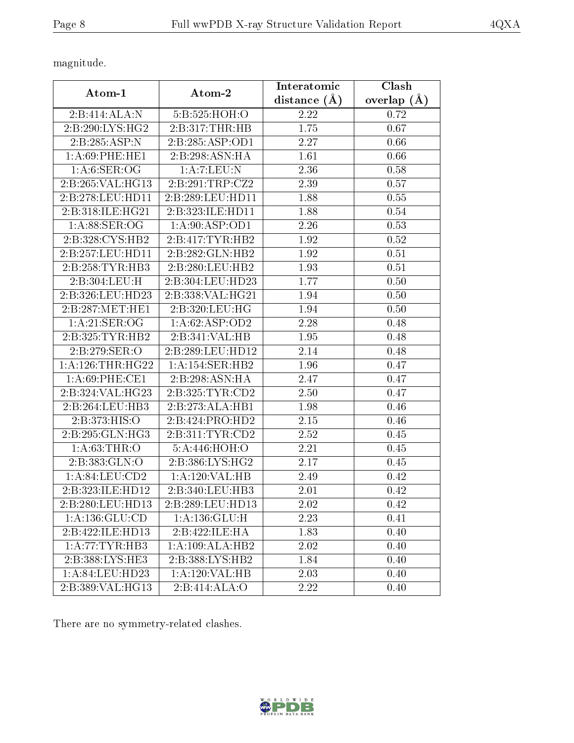magnitude.

| Atom-1             | Atom-2                       | Interatomic    | Clash           |
|--------------------|------------------------------|----------------|-----------------|
|                    |                              | distance $(A)$ | overlap $(\AA)$ |
| 2:B:414:ALA:N      | 5:B:525:HOH:O                | 2.22           | 0.72            |
| 2:B:290:LYS:HG2    | 2: B: 317: THR: HB           | 1.75           | 0.67            |
| 2:B:285:ASP:N      | 2:B:285:ASP:OD1              | 2.27           | 0.66            |
| 1: A:69:PHE:HE1    | 2:B:298:ASN:HA               | 1.61           | 0.66            |
| 1: A:6: SER:OG     | 1:A:7:LEU:N                  | 2.36           | 0.58            |
| 2:B:265:VAL:HG13   | 2:B:291:TRP:CZ2              | 2.39           | 0.57            |
| 2:B:278:LEU:HD11   | 2:B:289:LEU:HD11             | 1.88           | 0.55            |
| 2:B:318:ILE:HG21   | 2:B:323:ILE:HD11             | 1.88           | 0.54            |
| 1: A:88: SER:OG    | 1: A:90: ASP:OD1             | 2.26           | 0.53            |
| 2:B:328:CYS:HB2    | 2:B:417:TYR:HB2              | 1.92           | 0.52            |
| 2:B:257:LEU:HD11   | 2:B:282:GLN:HB2              | 1.92           | 0.51            |
| 2:B:258:TYR:HB3    | 2:B:280:LEU:HB2              | 1.93           | 0.51            |
| 2:B:304:LEU:H      | 2:B:304:LEU:HD23             | 1.77           | 0.50            |
| 2:B:326:LEU:HD23   | 2:B:338:VAL:HG21             | 1.94           | 0.50            |
| 2:B:287:MET:HE1    | 2:B:320:LEU:HG               | 1.94           | 0.50            |
| 1: A:21: SER:OG    | 1:A:62:ASP:OD2               | 2.28           | 0.48            |
| 2:B:325:TYR:HB2    | 2:B:341:VAL:HB               | 1.95           | 0.48            |
| 2:B:279:SER:O      | 2:B:289:LEU:HD12             | 2.14           | 0.48            |
| 1: A:126:THR:HG22  | 1: A:154: SER: HB2           | 1.96           | 0.47            |
| 1: A:69:PHE:CE1    | 2:B:298:ASN:HA               | 2.47           | 0.47            |
| 2:B:324:VAL:HG23   | 2:B:325:TYR:CD2              | 2.50           | 0.47            |
| 2:B:264:LEU:HB3    | 2:B:273:ALA:HB1              | 1.98           | 0.46            |
| 2:B:373:HIS:O      | 2:B:424:PRO:HD2              | 2.15           | 0.46            |
| 2:B:295:GLN:HG3    | 2: B: 311: TYR: CD2          | 2.52           | 0.45            |
| 1: A:63:THR:O      | 5: A:446:HOH:O               | 2.21           | 0.45            |
| 2:B:383:GLN:O      | 2:B:386:LYS:HG2              | 2.17           | 0.45            |
| 1: A:84:LEU:CD2    | 1:A:120:VAL:HB               | 2.49           | 0.42            |
| 2:B:323:ILE:HD12   | 2:B:340:LEU:HB3              | 2.01           | 0.42            |
| 2:B:280:LEU:HD13   | 2:B:289:LEU:HD13             | 2.02           | 0.42            |
| 1: A: 136: GLU: CD | 1: A: 136: GLU: H            | 2.23           | 0.41            |
| 2:B:422:ILE:HD13   | 2:B:422:ILE:HA               | 1.83           | 0.40            |
| 1: A:77:TYR:HB3    | $1:A:109:ALA:\overline{H}B2$ | $2.02\,$       | 0.40            |
| 2:B:388:LYS:HE3    | 2:B:388:LYS:HB2              | 1.84           | 0.40            |
| 1: A:84:LEU:HD23   | 1:A:120:VAL:HB               | 2.03           | 0.40            |
| 2:B:389:VAL:HG13   | 2:B:414:ALA:O                | 2.22           | 0.40            |

There are no symmetry-related clashes.

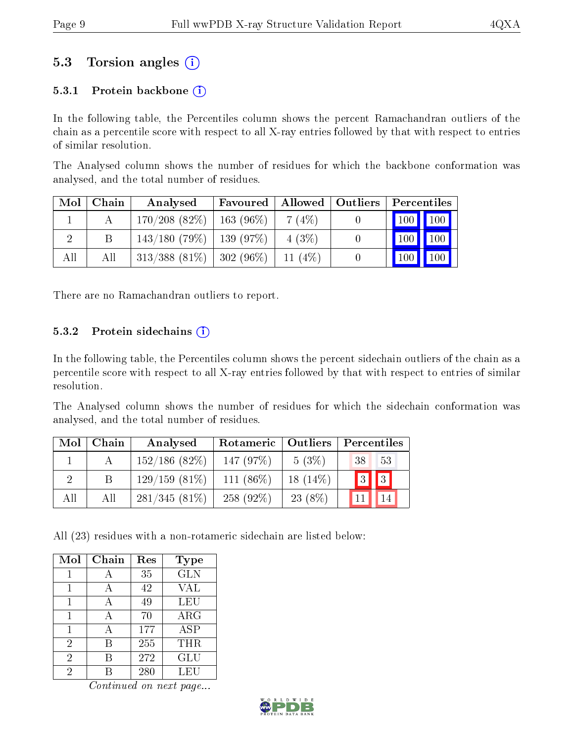### 5.3 Torsion angles (i)

#### 5.3.1 Protein backbone  $(i)$

In the following table, the Percentiles column shows the percent Ramachandran outliers of the chain as a percentile score with respect to all X-ray entries followed by that with respect to entries of similar resolution.

The Analysed column shows the number of residues for which the backbone conformation was analysed, and the total number of residues.

| Mol | Chain | Analysed                      | Favoured     | $\blacksquare$ Allowed $\blacksquare$ | Outliers | Percentiles   |     |
|-----|-------|-------------------------------|--------------|---------------------------------------|----------|---------------|-----|
|     |       | 170/208(82%)                  | 163 (96\%)   | 7(4%)                                 |          | $100$   $100$ |     |
|     |       | $143/180$ (79\%)   139 (97\%) |              | 4(3%)                                 |          | 100           | 100 |
| All | Аll   | $313/388(81\%)$               | $ 302(96\%)$ | 11 $(4%)$                             |          | $100 \mid$    | 100 |

There are no Ramachandran outliers to report.

#### 5.3.2 Protein sidechains  $(i)$

In the following table, the Percentiles column shows the percent sidechain outliers of the chain as a percentile score with respect to all X-ray entries followed by that with respect to entries of similar resolution.

The Analysed column shows the number of residues for which the sidechain conformation was analysed, and the total number of residues.

| Mol | Chain | Analysed         | Rotameric   Outliers |            | Percentiles               |
|-----|-------|------------------|----------------------|------------|---------------------------|
|     |       | $152/186$ (82\%) | 147(97%)             | $5(3\%)$   | 53<br>38 <sup>1</sup>     |
|     |       | $129/159(81\%)$  | 111 $(86\%)$         | $18(14\%)$ | $\sqrt{3}$<br>$\boxed{3}$ |
| All | All   | $281/345(81\%)$  | $258(92\%)$          | 23 (8\%)   |                           |

All (23) residues with a non-rotameric sidechain are listed below:

| Mol            | Chain | Res | <b>Type</b> |
|----------------|-------|-----|-------------|
| 1              | А     | 35  | <b>GLN</b>  |
| 1              | А     | 42  | <b>VAL</b>  |
| 1              | А     | 49  | <b>LEU</b>  |
| 1              | А     | 70  | ARG         |
| 1              | А     | 177 | ASP         |
| $\overline{2}$ | В     | 255 | THR         |
| $\overline{2}$ | R     | 272 | GLU         |
| 2              |       | 280 | LEU         |

Continued on next page...

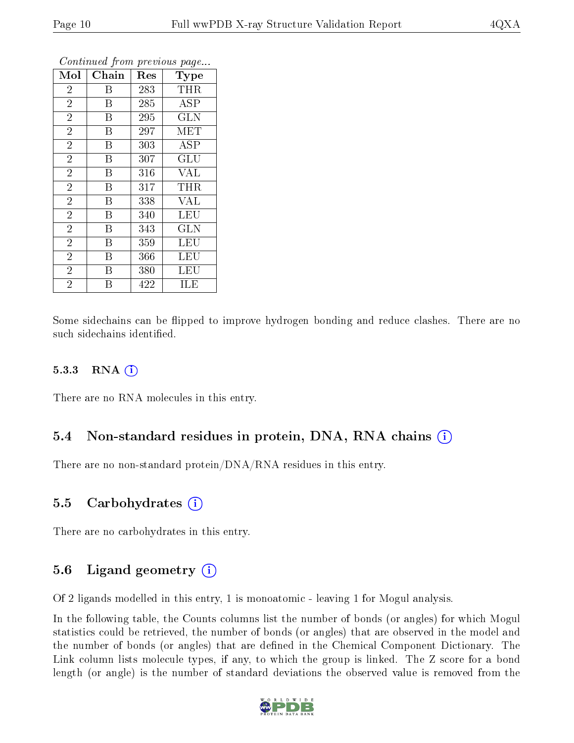| Mol            | Chain | Res | <b>Type</b> |
|----------------|-------|-----|-------------|
| $\overline{2}$ | Β     | 283 | <b>THR</b>  |
| $\overline{2}$ | B     | 285 | ASP         |
| $\overline{2}$ | B     | 295 | <b>GLN</b>  |
| $\overline{2}$ | B     | 297 | MET         |
| $\overline{2}$ | B     | 303 | $\rm{ASP}$  |
| $\overline{2}$ | B     | 307 | GLU         |
| $\overline{2}$ | B     | 316 | <b>VAL</b>  |
| $\overline{2}$ | B     | 317 | THR         |
| $\overline{2}$ | B     | 338 | <b>VAL</b>  |
| $\overline{2}$ | B     | 340 | <b>LEU</b>  |
| $\overline{2}$ | B     | 343 | <b>GLN</b>  |
| $\overline{2}$ | B     | 359 | LEU         |
| $\overline{2}$ | B     | 366 | LEU         |
| $\overline{2}$ | B     | 380 | <b>LEU</b>  |
| $\overline{2}$ | В     | 422 | ILE         |

Continued from previous page...

Some sidechains can be flipped to improve hydrogen bonding and reduce clashes. There are no such sidechains identified.

#### $5.3.3$  RNA  $(i)$

There are no RNA molecules in this entry.

#### 5.4 Non-standard residues in protein, DNA, RNA chains (i)

There are no non-standard protein/DNA/RNA residues in this entry.

#### 5.5 Carbohydrates (i)

There are no carbohydrates in this entry.

### 5.6 Ligand geometry  $(i)$

Of 2 ligands modelled in this entry, 1 is monoatomic - leaving 1 for Mogul analysis.

In the following table, the Counts columns list the number of bonds (or angles) for which Mogul statistics could be retrieved, the number of bonds (or angles) that are observed in the model and the number of bonds (or angles) that are defined in the Chemical Component Dictionary. The Link column lists molecule types, if any, to which the group is linked. The Z score for a bond length (or angle) is the number of standard deviations the observed value is removed from the

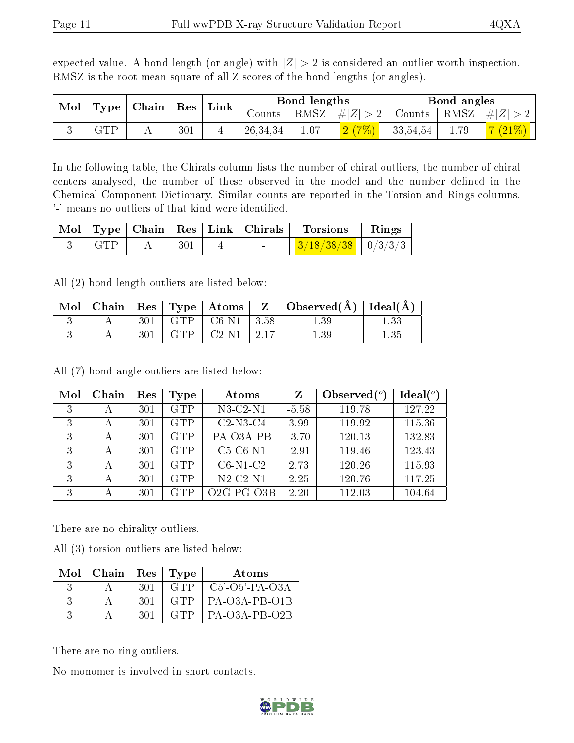expected value. A bond length (or angle) with  $|Z| > 2$  is considered an outlier worth inspection. RMSZ is the root-mean-square of all Z scores of the bond lengths (or angles).

| Mol   Type   Chain   Res   Link |            |     | Bond lengths |  |                      | Bond angles |  |                                                                                |
|---------------------------------|------------|-----|--------------|--|----------------------|-------------|--|--------------------------------------------------------------------------------|
|                                 |            |     | Counts       |  |                      |             |  | $\mid$ RMSZ $\mid \#  Z  > 2 \mid$ Counts $\mid$ RMSZ $\mid \#  Z  > 2 \mid$   |
|                                 | <b>GTP</b> | 301 | 26,34,34     |  | $\frac{1}{2}(7\%)$ . | 33,54,54    |  | $\begin{array}{ c c c c c }\n\hline\n1.79 & & 7 & (21\%)\n\hline\n\end{array}$ |

In the following table, the Chirals column lists the number of chiral outliers, the number of chiral centers analysed, the number of these observed in the model and the number defined in the Chemical Component Dictionary. Similar counts are reported in the Torsion and Rings columns. '-' means no outliers of that kind were identified.

|           |     |                          | $\mid$ Mol $\mid$ Type $\mid$ Chain $\mid$ Res $\mid$ Link $\mid$ Chirals $\mid$ -Torsions $\mid$ | $\parallel$ Rings |
|-----------|-----|--------------------------|---------------------------------------------------------------------------------------------------|-------------------|
| $\pm$ GTP | 301 | <b>Contract Contract</b> | $3/18/38/38$   0/3/3/3                                                                            |                   |

All (2) bond length outliers are listed below:

| $\mod$ |     |            | $\mid$ Chain $\mid$ Res $\mid$ Type $\mid$ Atoms | $Z_{-1}$           | $\mid$ Observed( $\AA$ ) $\mid$ Ideal( $\AA$ ) |  |
|--------|-----|------------|--------------------------------------------------|--------------------|------------------------------------------------|--|
|        | 301 | <b>GTP</b> | $\mid$ C6-N1 $\mid$                              | $\vert 3.58 \vert$ | $1.39\,$                                       |  |
|        | 301 | <b>GTP</b> | $\pm$ C2-N1 $\pm$ $\approx$                      | $\perp$ 2.17       | 1.39                                           |  |

All (7) bond angle outliers are listed below:

| Mol | Chain | Res | Type       | Atoms          |         | Observed $(°)$ | $Ideal(^o)$ |
|-----|-------|-----|------------|----------------|---------|----------------|-------------|
| 3   | А     | 301 | <b>GTP</b> | $N3$ -C2-N1    | $-5.58$ | 119.78         | 127.22      |
| 3   | А     | 301 | <b>GTP</b> | $C2-N3-C4$     | 3.99    | 119.92         | 115.36      |
| 3   | А     | 301 | <b>GTP</b> | PA-O3A-PB      | $-3.70$ | 120.13         | 132.83      |
| 3   | А     | 301 | <b>GTP</b> | $C5-C6-N1$     | $-2.91$ | 119.46         | 123.43      |
| 3   | А     | 301 | <b>GTP</b> | $C6-N1-C2$     | 2.73    | 120.26         | 115.93      |
| 3   | А     | 301 | <b>GTP</b> | $N2$ -C2- $N1$ | 2.25    | 120.76         | 117.25      |
| 3   | А     | 301 | <b>GTP</b> | $O2G-PG-O3B$   | 2.20    | 112.03         | 104.64      |

There are no chirality outliers.

All (3) torsion outliers are listed below:

| Mol | Chain   Res   Type |      |            | Atoms           |
|-----|--------------------|------|------------|-----------------|
|     |                    | -301 | GTP        | C5'-O5'-PA-O3A  |
|     |                    | -301 | <b>GTP</b> | PA-O3A-PB-O1B   |
|     |                    | -301 | <b>GTP</b> | $PA-O3A-PB-O2B$ |

There are no ring outliers.

No monomer is involved in short contacts.

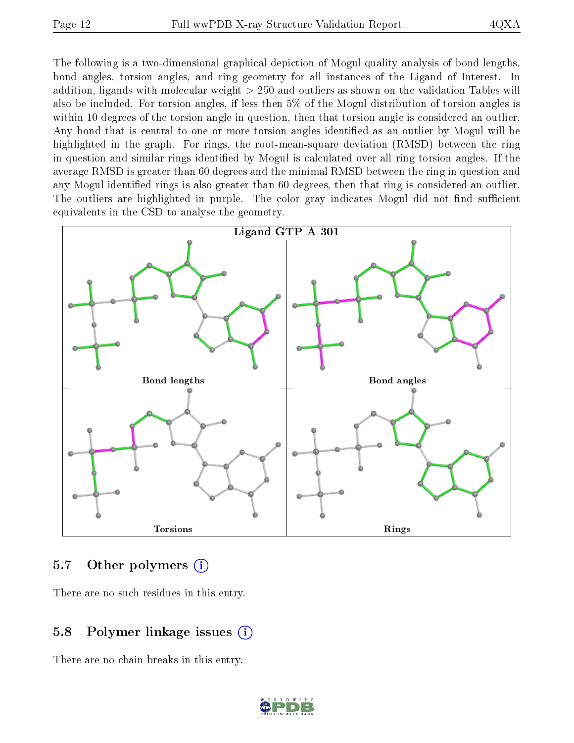The following is a two-dimensional graphical depiction of Mogul quality analysis of bond lengths, bond angles, torsion angles, and ring geometry for all instances of the Ligand of Interest. In addition, ligands with molecular weight > 250 and outliers as shown on the validation Tables will also be included. For torsion angles, if less then 5% of the Mogul distribution of torsion angles is within 10 degrees of the torsion angle in question, then that torsion angle is considered an outlier. Any bond that is central to one or more torsion angles identified as an outlier by Mogul will be highlighted in the graph. For rings, the root-mean-square deviation (RMSD) between the ring in question and similar rings identified by Mogul is calculated over all ring torsion angles. If the average RMSD is greater than 60 degrees and the minimal RMSD between the ring in question and any Mogul-identified rings is also greater than 60 degrees, then that ring is considered an outlier. The outliers are highlighted in purple. The color gray indicates Mogul did not find sufficient equivalents in the CSD to analyse the geometry.



#### 5.7 [O](https://www.wwpdb.org/validation/2017/XrayValidationReportHelp#nonstandard_residues_and_ligands)ther polymers  $(i)$

There are no such residues in this entry.

### 5.8 Polymer linkage issues (i)

There are no chain breaks in this entry.

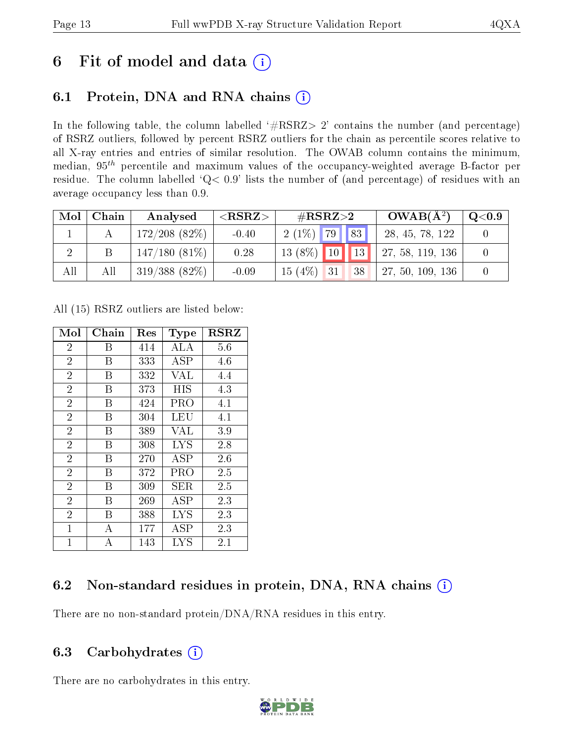# 6 Fit of model and data  $(i)$

### 6.1 Protein, DNA and RNA chains  $(i)$

In the following table, the column labelled  $#RSRZ> 2'$  contains the number (and percentage) of RSRZ outliers, followed by percent RSRZ outliers for the chain as percentile scores relative to all X-ray entries and entries of similar resolution. The OWAB column contains the minimum, median,  $95<sup>th</sup>$  percentile and maximum values of the occupancy-weighted average B-factor per residue. The column labelled ' $Q< 0.9$ ' lists the number of (and percentage) of residues with an average occupancy less than 0.9.

| Mol            | Chain | Analysed         | $<$ RSRZ $>$ | # $RSRZ>2$                            |                  | $OWAB(A^2)$       | $\rm Q\textcolor{black}{<}0.9$ |
|----------------|-------|------------------|--------------|---------------------------------------|------------------|-------------------|--------------------------------|
|                |       | $172/208$ (82\%) | $-0.40$      | $2(1\%)$ 79                           | $\vert 83 \vert$ | 28, 45, 78, 122   |                                |
| $\overline{2}$ |       | $147/180(81\%)$  | 0.28         | $13(8\%)$ 10                          | $\vert$ 13       | 127, 58, 119, 136 |                                |
| All            | All   | $319/388(82\%)$  | $-0.09$      | (4%)<br>$\vert$ 31<br>15 <sup>′</sup> | 38               | 27, 50, 109, 136  |                                |

All (15) RSRZ outliers are listed below:

| Mol            | Chain | $\operatorname{Res}% \left( \mathcal{N}\right) \equiv\operatorname{Res}(\mathcal{N}_{0},\mathcal{N}_{0})$ | <b>Type</b> | <b>RSRZ</b> |
|----------------|-------|-----------------------------------------------------------------------------------------------------------|-------------|-------------|
| $\overline{2}$ | В     | 414                                                                                                       | ALA         | 5.6         |
| $\overline{2}$ | Β     | 333                                                                                                       | ASP         | 4.6         |
| $\overline{2}$ | Β     | 332                                                                                                       | <b>VAL</b>  | 4.4         |
| $\overline{2}$ | Β     | 373                                                                                                       | HIS         | 4.3         |
| $\overline{2}$ | Β     | 424                                                                                                       | PRO         | 4.1         |
| $\overline{2}$ | B     | 304                                                                                                       | LEU         | 4.1         |
| $\overline{2}$ | В     | 389                                                                                                       | <b>VAL</b>  | 3.9         |
| $\overline{2}$ | Β     | 308                                                                                                       | <b>LYS</b>  | 2.8         |
| $\overline{2}$ | Β     | 270                                                                                                       | ASP         | 2.6         |
| $\overline{2}$ | В     | 372                                                                                                       | PRO         | 2.5         |
| $\overline{2}$ | В     | 309                                                                                                       | SER         | 2.5         |
| $\overline{2}$ | Β     | 269                                                                                                       | ${\rm ASP}$ | 2.3         |
| $\overline{2}$ | В     | 388                                                                                                       | <b>LYS</b>  | 2.3         |
| $\overline{1}$ | А     | 177                                                                                                       | ${\rm ASP}$ | 2.3         |
| 1              | А     | 143                                                                                                       | <b>LYS</b>  | 2.1         |

### 6.2 Non-standard residues in protein, DNA, RNA chains (i)

There are no non-standard protein/DNA/RNA residues in this entry.

### 6.3 Carbohydrates  $(i)$

There are no carbohydrates in this entry.